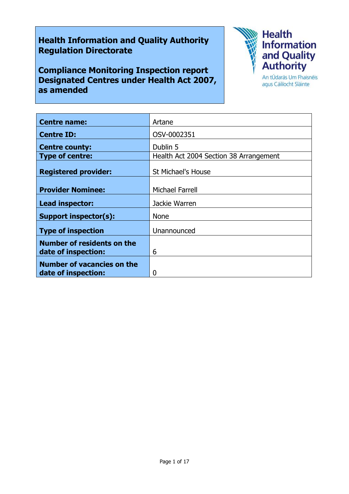# **Health Information and Quality Authority Regulation Directorate**

**Compliance Monitoring Inspection report Designated Centres under Health Act 2007, as amended**



agus Cáilíocht Sláinte

| <b>Centre name:</b>               | Artane                                 |
|-----------------------------------|----------------------------------------|
| <b>Centre ID:</b>                 | OSV-0002351                            |
| <b>Centre county:</b>             | Dublin 5                               |
| <b>Type of centre:</b>            | Health Act 2004 Section 38 Arrangement |
| <b>Registered provider:</b>       | <b>St Michael's House</b>              |
| <b>Provider Nominee:</b>          | <b>Michael Farrell</b>                 |
| Lead inspector:                   | Jackie Warren                          |
| Support inspector(s):             | <b>None</b>                            |
| <b>Type of inspection</b>         | Unannounced                            |
| <b>Number of residents on the</b> |                                        |
| date of inspection:               | 6                                      |
| <b>Number of vacancies on the</b> |                                        |
| date of inspection:               | O                                      |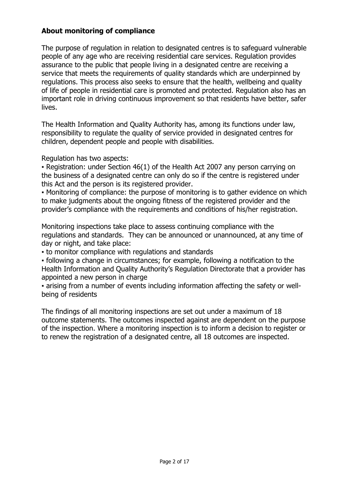### **About monitoring of compliance**

The purpose of regulation in relation to designated centres is to safeguard vulnerable people of any age who are receiving residential care services. Regulation provides assurance to the public that people living in a designated centre are receiving a service that meets the requirements of quality standards which are underpinned by regulations. This process also seeks to ensure that the health, wellbeing and quality of life of people in residential care is promoted and protected. Regulation also has an important role in driving continuous improvement so that residents have better, safer lives.

The Health Information and Quality Authority has, among its functions under law, responsibility to regulate the quality of service provided in designated centres for children, dependent people and people with disabilities.

Regulation has two aspects:

• Registration: under Section 46(1) of the Health Act 2007 any person carrying on the business of a designated centre can only do so if the centre is registered under this Act and the person is its registered provider.

▪ Monitoring of compliance: the purpose of monitoring is to gather evidence on which to make judgments about the ongoing fitness of the registered provider and the provider's compliance with the requirements and conditions of his/her registration.

Monitoring inspections take place to assess continuing compliance with the regulations and standards. They can be announced or unannounced, at any time of day or night, and take place:

▪ to monitor compliance with regulations and standards

▪ following a change in circumstances; for example, following a notification to the Health Information and Quality Authority's Regulation Directorate that a provider has appointed a new person in charge

▪ arising from a number of events including information affecting the safety or wellbeing of residents

The findings of all monitoring inspections are set out under a maximum of 18 outcome statements. The outcomes inspected against are dependent on the purpose of the inspection. Where a monitoring inspection is to inform a decision to register or to renew the registration of a designated centre, all 18 outcomes are inspected.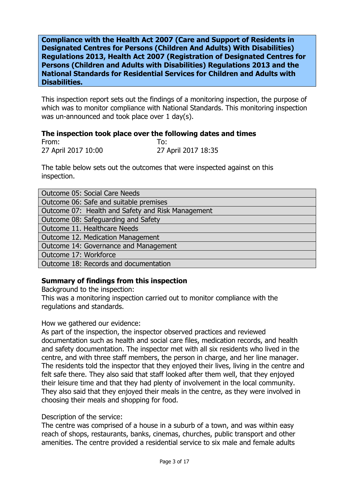**Compliance with the Health Act 2007 (Care and Support of Residents in Designated Centres for Persons (Children And Adults) With Disabilities) Regulations 2013, Health Act 2007 (Registration of Designated Centres for Persons (Children and Adults with Disabilities) Regulations 2013 and the National Standards for Residential Services for Children and Adults with Disabilities.**

This inspection report sets out the findings of a monitoring inspection, the purpose of which was to monitor compliance with National Standards. This monitoring inspection was un-announced and took place over 1 day(s).

#### **The inspection took place over the following dates and times**

From: To: 27 April 2017 10:00 27 April 2017 18:35

The table below sets out the outcomes that were inspected against on this inspection.

| <b>Outcome 05: Social Care Needs</b>              |
|---------------------------------------------------|
| Outcome 06: Safe and suitable premises            |
| Outcome 07: Health and Safety and Risk Management |
| Outcome 08: Safeguarding and Safety               |
| Outcome 11. Healthcare Needs                      |
| Outcome 12. Medication Management                 |
| Outcome 14: Governance and Management             |
| Outcome 17: Workforce                             |
| Outcome 18: Records and documentation             |

### **Summary of findings from this inspection**

Background to the inspection:

This was a monitoring inspection carried out to monitor compliance with the regulations and standards.

### How we gathered our evidence:

As part of the inspection, the inspector observed practices and reviewed documentation such as health and social care files, medication records, and health and safety documentation. The inspector met with all six residents who lived in the centre, and with three staff members, the person in charge, and her line manager. The residents told the inspector that they enjoyed their lives, living in the centre and felt safe there. They also said that staff looked after them well, that they enjoyed their leisure time and that they had plenty of involvement in the local community. They also said that they enjoyed their meals in the centre, as they were involved in choosing their meals and shopping for food.

### Description of the service:

The centre was comprised of a house in a suburb of a town, and was within easy reach of shops, restaurants, banks, cinemas, churches, public transport and other amenities. The centre provided a residential service to six male and female adults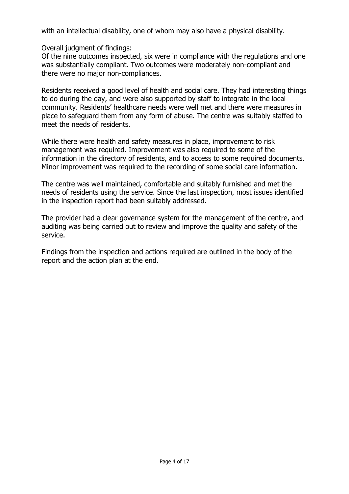with an intellectual disability, one of whom may also have a physical disability.

Overall judgment of findings:

Of the nine outcomes inspected, six were in compliance with the regulations and one was substantially compliant. Two outcomes were moderately non-compliant and there were no major non-compliances.

Residents received a good level of health and social care. They had interesting things to do during the day, and were also supported by staff to integrate in the local community. Residents' healthcare needs were well met and there were measures in place to safeguard them from any form of abuse. The centre was suitably staffed to meet the needs of residents.

While there were health and safety measures in place, improvement to risk management was required. Improvement was also required to some of the information in the directory of residents, and to access to some required documents. Minor improvement was required to the recording of some social care information.

The centre was well maintained, comfortable and suitably furnished and met the needs of residents using the service. Since the last inspection, most issues identified in the inspection report had been suitably addressed.

The provider had a clear governance system for the management of the centre, and auditing was being carried out to review and improve the quality and safety of the service.

Findings from the inspection and actions required are outlined in the body of the report and the action plan at the end.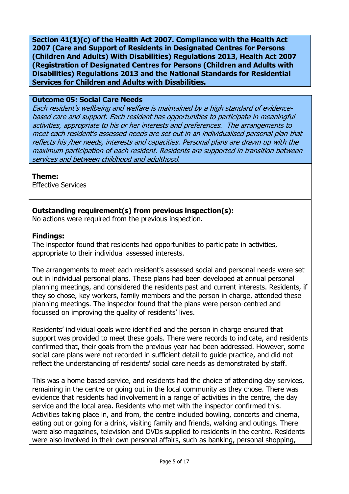**Section 41(1)(c) of the Health Act 2007. Compliance with the Health Act 2007 (Care and Support of Residents in Designated Centres for Persons (Children And Adults) With Disabilities) Regulations 2013, Health Act 2007 (Registration of Designated Centres for Persons (Children and Adults with Disabilities) Regulations 2013 and the National Standards for Residential Services for Children and Adults with Disabilities.**

#### **Outcome 05: Social Care Needs**

Each resident's wellbeing and welfare is maintained by a high standard of evidencebased care and support. Each resident has opportunities to participate in meaningful activities, appropriate to his or her interests and preferences. The arrangements to meet each resident's assessed needs are set out in an individualised personal plan that reflects his /her needs, interests and capacities. Personal plans are drawn up with the maximum participation of each resident. Residents are supported in transition between services and between childhood and adulthood.

### **Theme:**

Effective Services

# **Outstanding requirement(s) from previous inspection(s):**

No actions were required from the previous inspection.

### **Findings:**

The inspector found that residents had opportunities to participate in activities, appropriate to their individual assessed interests.

The arrangements to meet each resident's assessed social and personal needs were set out in individual personal plans. These plans had been developed at annual personal planning meetings, and considered the residents past and current interests. Residents, if they so chose, key workers, family members and the person in charge, attended these planning meetings. The inspector found that the plans were person-centred and focussed on improving the quality of residents' lives.

Residents' individual goals were identified and the person in charge ensured that support was provided to meet these goals. There were records to indicate, and residents confirmed that, their goals from the previous year had been addressed. However, some social care plans were not recorded in sufficient detail to guide practice, and did not reflect the understanding of residents' social care needs as demonstrated by staff.

This was a home based service, and residents had the choice of attending day services, remaining in the centre or going out in the local community as they chose. There was evidence that residents had involvement in a range of activities in the centre, the day service and the local area. Residents who met with the inspector confirmed this. Activities taking place in, and from, the centre included bowling, concerts and cinema, eating out or going for a drink, visiting family and friends, walking and outings. There were also magazines, television and DVDs supplied to residents in the centre. Residents were also involved in their own personal affairs, such as banking, personal shopping,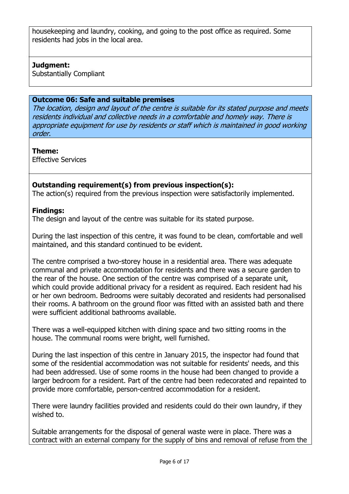housekeeping and laundry, cooking, and going to the post office as required. Some residents had jobs in the local area.

# **Judgment:**

Substantially Compliant

### **Outcome 06: Safe and suitable premises**

The location, design and layout of the centre is suitable for its stated purpose and meets residents individual and collective needs in a comfortable and homely way. There is appropriate equipment for use by residents or staff which is maintained in good working order.

### **Theme:**

Effective Services

# **Outstanding requirement(s) from previous inspection(s):**

The action(s) required from the previous inspection were satisfactorily implemented.

### **Findings:**

The design and layout of the centre was suitable for its stated purpose.

During the last inspection of this centre, it was found to be clean, comfortable and well maintained, and this standard continued to be evident.

The centre comprised a two-storey house in a residential area. There was adequate communal and private accommodation for residents and there was a secure garden to the rear of the house. One section of the centre was comprised of a separate unit, which could provide additional privacy for a resident as required. Each resident had his or her own bedroom. Bedrooms were suitably decorated and residents had personalised their rooms. A bathroom on the ground floor was fitted with an assisted bath and there were sufficient additional bathrooms available.

There was a well-equipped kitchen with dining space and two sitting rooms in the house. The communal rooms were bright, well furnished.

During the last inspection of this centre in January 2015, the inspector had found that some of the residential accommodation was not suitable for residents' needs, and this had been addressed. Use of some rooms in the house had been changed to provide a larger bedroom for a resident. Part of the centre had been redecorated and repainted to provide more comfortable, person-centred accommodation for a resident.

There were laundry facilities provided and residents could do their own laundry, if they wished to.

Suitable arrangements for the disposal of general waste were in place. There was a contract with an external company for the supply of bins and removal of refuse from the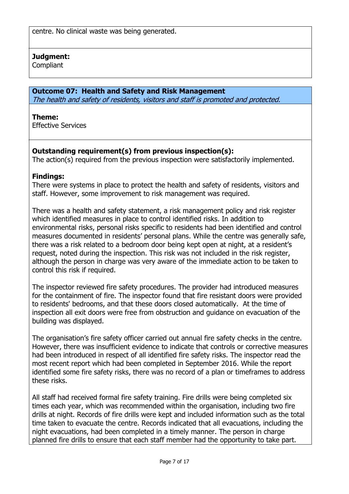centre. No clinical waste was being generated.

### **Judgment:**

**Compliant** 

### **Outcome 07: Health and Safety and Risk Management**

The health and safety of residents, visitors and staff is promoted and protected.

#### **Theme:**

Effective Services

# **Outstanding requirement(s) from previous inspection(s):**

The action(s) required from the previous inspection were satisfactorily implemented.

### **Findings:**

There were systems in place to protect the health and safety of residents, visitors and staff. However, some improvement to risk management was required.

There was a health and safety statement, a risk management policy and risk register which identified measures in place to control identified risks. In addition to environmental risks, personal risks specific to residents had been identified and control measures documented in residents' personal plans. While the centre was generally safe, there was a risk related to a bedroom door being kept open at night, at a resident's request, noted during the inspection. This risk was not included in the risk register, although the person in charge was very aware of the immediate action to be taken to control this risk if required.

The inspector reviewed fire safety procedures. The provider had introduced measures for the containment of fire. The inspector found that fire resistant doors were provided to residents' bedrooms, and that these doors closed automatically. At the time of inspection all exit doors were free from obstruction and guidance on evacuation of the building was displayed.

The organisation's fire safety officer carried out annual fire safety checks in the centre. However, there was insufficient evidence to indicate that controls or corrective measures had been introduced in respect of all identified fire safety risks. The inspector read the most recent report which had been completed in September 2016. While the report identified some fire safety risks, there was no record of a plan or timeframes to address these risks.

All staff had received formal fire safety training. Fire drills were being completed six times each year, which was recommended within the organisation, including two fire drills at night. Records of fire drills were kept and included information such as the total time taken to evacuate the centre. Records indicated that all evacuations, including the night evacuations, had been completed in a timely manner. The person in charge planned fire drills to ensure that each staff member had the opportunity to take part.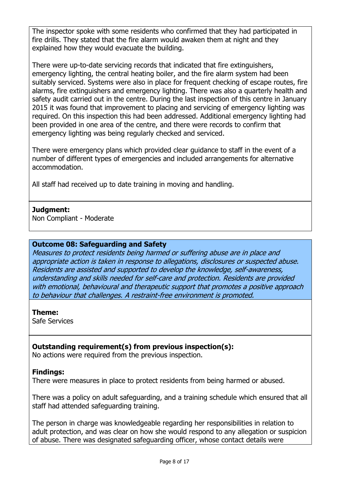The inspector spoke with some residents who confirmed that they had participated in fire drills. They stated that the fire alarm would awaken them at night and they explained how they would evacuate the building.

There were up-to-date servicing records that indicated that fire extinguishers, emergency lighting, the central heating boiler, and the fire alarm system had been suitably serviced. Systems were also in place for frequent checking of escape routes, fire alarms, fire extinguishers and emergency lighting. There was also a quarterly health and safety audit carried out in the centre. During the last inspection of this centre in January 2015 it was found that improvement to placing and servicing of emergency lighting was required. On this inspection this had been addressed. Additional emergency lighting had been provided in one area of the centre, and there were records to confirm that emergency lighting was being regularly checked and serviced.

There were emergency plans which provided clear guidance to staff in the event of a number of different types of emergencies and included arrangements for alternative accommodation.

All staff had received up to date training in moving and handling.

### **Judgment:**

Non Compliant - Moderate

### **Outcome 08: Safeguarding and Safety**

Measures to protect residents being harmed or suffering abuse are in place and appropriate action is taken in response to allegations, disclosures or suspected abuse. Residents are assisted and supported to develop the knowledge, self-awareness, understanding and skills needed for self-care and protection. Residents are provided with emotional, behavioural and therapeutic support that promotes a positive approach to behaviour that challenges. A restraint-free environment is promoted.

### **Theme:**

Safe Services

# **Outstanding requirement(s) from previous inspection(s):**

No actions were required from the previous inspection.

### **Findings:**

There were measures in place to protect residents from being harmed or abused.

There was a policy on adult safeguarding, and a training schedule which ensured that all staff had attended safeguarding training.

The person in charge was knowledgeable regarding her responsibilities in relation to adult protection, and was clear on how she would respond to any allegation or suspicion of abuse. There was designated safeguarding officer, whose contact details were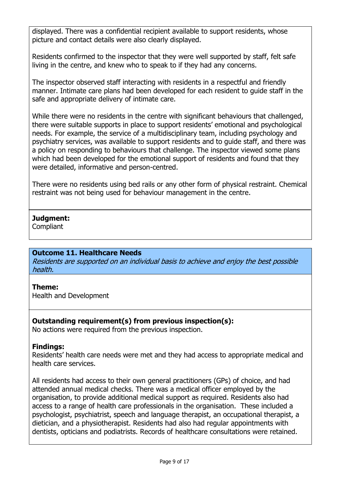displayed. There was a confidential recipient available to support residents, whose picture and contact details were also clearly displayed.

Residents confirmed to the inspector that they were well supported by staff, felt safe living in the centre, and knew who to speak to if they had any concerns.

The inspector observed staff interacting with residents in a respectful and friendly manner. Intimate care plans had been developed for each resident to guide staff in the safe and appropriate delivery of intimate care.

While there were no residents in the centre with significant behaviours that challenged, there were suitable supports in place to support residents' emotional and psychological needs. For example, the service of a multidisciplinary team, including psychology and psychiatry services, was available to support residents and to guide staff, and there was a policy on responding to behaviours that challenge. The inspector viewed some plans which had been developed for the emotional support of residents and found that they were detailed, informative and person-centred.

There were no residents using bed rails or any other form of physical restraint. Chemical restraint was not being used for behaviour management in the centre.

# **Judgment:**

**Compliant** 

### **Outcome 11. Healthcare Needs**

Residents are supported on an individual basis to achieve and enjoy the best possible health.

### **Theme:**

Health and Development

# **Outstanding requirement(s) from previous inspection(s):**

No actions were required from the previous inspection.

### **Findings:**

Residents' health care needs were met and they had access to appropriate medical and health care services.

All residents had access to their own general practitioners (GPs) of choice, and had attended annual medical checks. There was a medical officer employed by the organisation, to provide additional medical support as required. Residents also had access to a range of health care professionals in the organisation. These included a psychologist, psychiatrist, speech and language therapist, an occupational therapist, a dietician, and a physiotherapist. Residents had also had regular appointments with dentists, opticians and podiatrists. Records of healthcare consultations were retained.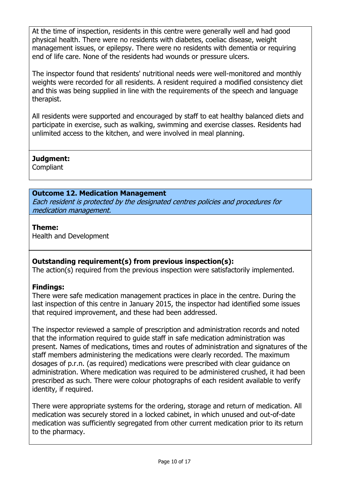At the time of inspection, residents in this centre were generally well and had good physical health. There were no residents with diabetes, coeliac disease, weight management issues, or epilepsy. There were no residents with dementia or requiring end of life care. None of the residents had wounds or pressure ulcers.

The inspector found that residents' nutritional needs were well-monitored and monthly weights were recorded for all residents. A resident required a modified consistency diet and this was being supplied in line with the requirements of the speech and language therapist.

All residents were supported and encouraged by staff to eat healthy balanced diets and participate in exercise, such as walking, swimming and exercise classes. Residents had unlimited access to the kitchen, and were involved in meal planning.

# **Judgment:**

**Compliant** 

# **Outcome 12. Medication Management**

Each resident is protected by the designated centres policies and procedures for medication management.

# **Theme:**

Health and Development

# **Outstanding requirement(s) from previous inspection(s):**

The action(s) required from the previous inspection were satisfactorily implemented.

# **Findings:**

There were safe medication management practices in place in the centre. During the last inspection of this centre in January 2015, the inspector had identified some issues that required improvement, and these had been addressed.

The inspector reviewed a sample of prescription and administration records and noted that the information required to guide staff in safe medication administration was present. Names of medications, times and routes of administration and signatures of the staff members administering the medications were clearly recorded. The maximum dosages of p.r.n. (as required) medications were prescribed with clear guidance on administration. Where medication was required to be administered crushed, it had been prescribed as such. There were colour photographs of each resident available to verify identity, if required.

There were appropriate systems for the ordering, storage and return of medication. All medication was securely stored in a locked cabinet, in which unused and out-of-date medication was sufficiently segregated from other current medication prior to its return to the pharmacy.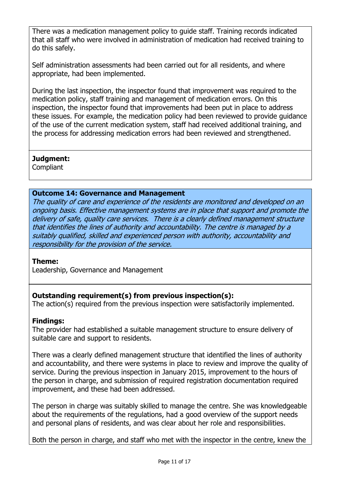There was a medication management policy to guide staff. Training records indicated that all staff who were involved in administration of medication had received training to do this safely.

Self administration assessments had been carried out for all residents, and where appropriate, had been implemented.

During the last inspection, the inspector found that improvement was required to the medication policy, staff training and management of medication errors. On this inspection, the inspector found that improvements had been put in place to address these issues. For example, the medication policy had been reviewed to provide guidance of the use of the current medication system, staff had received additional training, and the process for addressing medication errors had been reviewed and strengthened.

# **Judgment:**

**Compliant** 

### **Outcome 14: Governance and Management**

The quality of care and experience of the residents are monitored and developed on an ongoing basis. Effective management systems are in place that support and promote the delivery of safe, quality care services. There is a clearly defined management structure that identifies the lines of authority and accountability. The centre is managed by a suitably qualified, skilled and experienced person with authority, accountability and responsibility for the provision of the service.

### **Theme:**

Leadership, Governance and Management

# **Outstanding requirement(s) from previous inspection(s):**

The action(s) required from the previous inspection were satisfactorily implemented.

# **Findings:**

The provider had established a suitable management structure to ensure delivery of suitable care and support to residents.

There was a clearly defined management structure that identified the lines of authority and accountability, and there were systems in place to review and improve the quality of service. During the previous inspection in January 2015, improvement to the hours of the person in charge, and submission of required registration documentation required improvement, and these had been addressed.

The person in charge was suitably skilled to manage the centre. She was knowledgeable about the requirements of the regulations, had a good overview of the support needs and personal plans of residents, and was clear about her role and responsibilities.

Both the person in charge, and staff who met with the inspector in the centre, knew the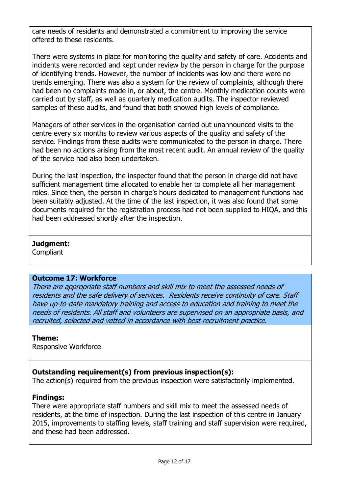care needs of residents and demonstrated a commitment to improving the service offered to these residents.

There were systems in place for monitoring the quality and safety of care. Accidents and incidents were recorded and kept under review by the person in charge for the purpose of identifying trends. However, the number of incidents was low and there were no trends emerging. There was also a system for the review of complaints, although there had been no complaints made in, or about, the centre. Monthly medication counts were carried out by staff, as well as quarterly medication audits. The inspector reviewed samples of these audits, and found that both showed high levels of compliance.

Managers of other services in the organisation carried out unannounced visits to the centre every six months to review various aspects of the quality and safety of the service. Findings from these audits were communicated to the person in charge. There had been no actions arising from the most recent audit. An annual review of the quality of the service had also been undertaken.

During the last inspection, the inspector found that the person in charge did not have sufficient management time allocated to enable her to complete all her management roles. Since then, the person in charge's hours dedicated to management functions had been suitably adjusted. At the time of the last inspection, it was also found that some documents required for the registration process had not been supplied to HIQA, and this had been addressed shortly after the inspection.

### **Judgment:**

**Compliant** 

### **Outcome 17: Workforce**

There are appropriate staff numbers and skill mix to meet the assessed needs of residents and the safe delivery of services. Residents receive continuity of care. Staff have up-to-date mandatory training and access to education and training to meet the needs of residents. All staff and volunteers are supervised on an appropriate basis, and recruited, selected and vetted in accordance with best recruitment practice.

### **Theme:**

Responsive Workforce

# **Outstanding requirement(s) from previous inspection(s):**

The action(s) required from the previous inspection were satisfactorily implemented.

# **Findings:**

There were appropriate staff numbers and skill mix to meet the assessed needs of residents, at the time of inspection. During the last inspection of this centre in January 2015, improvements to staffing levels, staff training and staff supervision were required, and these had been addressed.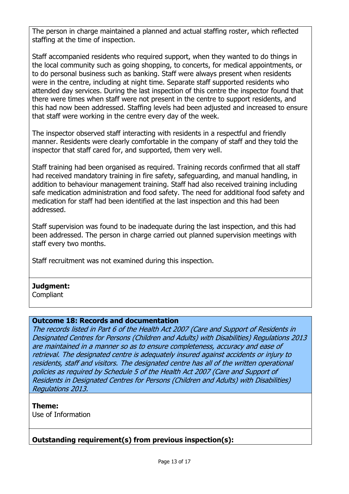The person in charge maintained a planned and actual staffing roster, which reflected staffing at the time of inspection.

Staff accompanied residents who required support, when they wanted to do things in the local community such as going shopping, to concerts, for medical appointments, or to do personal business such as banking. Staff were always present when residents were in the centre, including at night time. Separate staff supported residents who attended day services. During the last inspection of this centre the inspector found that there were times when staff were not present in the centre to support residents, and this had now been addressed. Staffing levels had been adjusted and increased to ensure that staff were working in the centre every day of the week.

The inspector observed staff interacting with residents in a respectful and friendly manner. Residents were clearly comfortable in the company of staff and they told the inspector that staff cared for, and supported, them very well.

Staff training had been organised as required. Training records confirmed that all staff had received mandatory training in fire safety, safeguarding, and manual handling, in addition to behaviour management training. Staff had also received training including safe medication administration and food safety. The need for additional food safety and medication for staff had been identified at the last inspection and this had been addressed.

Staff supervision was found to be inadequate during the last inspection, and this had been addressed. The person in charge carried out planned supervision meetings with staff every two months.

Staff recruitment was not examined during this inspection.

# **Judgment:**

**Compliant** 

### **Outcome 18: Records and documentation**

The records listed in Part 6 of the Health Act 2007 (Care and Support of Residents in Designated Centres for Persons (Children and Adults) with Disabilities) Regulations 2013 are maintained in a manner so as to ensure completeness, accuracy and ease of retrieval. The designated centre is adequately insured against accidents or injury to residents, staff and visitors. The designated centre has all of the written operational policies as required by Schedule 5 of the Health Act 2007 (Care and Support of Residents in Designated Centres for Persons (Children and Adults) with Disabilities) Regulations 2013.

### **Theme:**

Use of Information

# **Outstanding requirement(s) from previous inspection(s):**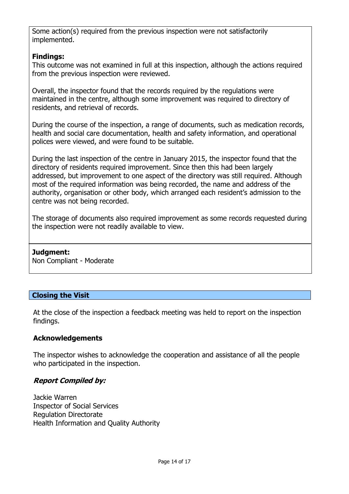Some action(s) required from the previous inspection were not satisfactorily implemented.

# **Findings:**

This outcome was not examined in full at this inspection, although the actions required from the previous inspection were reviewed.

Overall, the inspector found that the records required by the regulations were maintained in the centre, although some improvement was required to directory of residents, and retrieval of records.

During the course of the inspection, a range of documents, such as medication records, health and social care documentation, health and safety information, and operational polices were viewed, and were found to be suitable.

During the last inspection of the centre in January 2015, the inspector found that the directory of residents required improvement. Since then this had been largely addressed, but improvement to one aspect of the directory was still required. Although most of the required information was being recorded, the name and address of the authority, organisation or other body, which arranged each resident's admission to the centre was not being recorded.

The storage of documents also required improvement as some records requested during the inspection were not readily available to view.

# **Judgment:**

Non Compliant - Moderate

# **Closing the Visit**

At the close of the inspection a feedback meeting was held to report on the inspection findings.

### **Acknowledgements**

The inspector wishes to acknowledge the cooperation and assistance of all the people who participated in the inspection.

# **Report Compiled by:**

Jackie Warren Inspector of Social Services Regulation Directorate Health Information and Quality Authority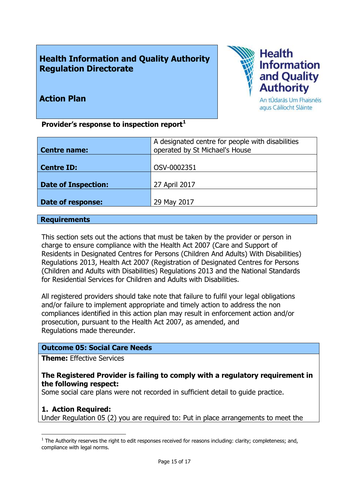# **Health Information and Quality Authority Regulation Directorate**



# **Action Plan**

**Provider's response to inspection report<sup>1</sup>**

| A designated centre for people with disabilities |
|--------------------------------------------------|
| operated by St Michael's House                   |
|                                                  |
| OSV-0002351                                      |
|                                                  |
| 27 April 2017                                    |
|                                                  |
| 29 May 2017                                      |
|                                                  |

#### **Requirements**

This section sets out the actions that must be taken by the provider or person in charge to ensure compliance with the Health Act 2007 (Care and Support of Residents in Designated Centres for Persons (Children And Adults) With Disabilities) Regulations 2013, Health Act 2007 (Registration of Designated Centres for Persons (Children and Adults with Disabilities) Regulations 2013 and the National Standards for Residential Services for Children and Adults with Disabilities.

All registered providers should take note that failure to fulfil your legal obligations and/or failure to implement appropriate and timely action to address the non compliances identified in this action plan may result in enforcement action and/or prosecution, pursuant to the Health Act 2007, as amended, and Regulations made thereunder.

### **Outcome 05: Social Care Needs**

**Theme:** Effective Services

### **The Registered Provider is failing to comply with a regulatory requirement in the following respect:**

Some social care plans were not recorded in sufficient detail to guide practice.

### **1. Action Required:**

 $\overline{a}$ 

Under Regulation 05 (2) you are required to: Put in place arrangements to meet the

 $<sup>1</sup>$  The Authority reserves the right to edit responses received for reasons including: clarity; completeness; and,</sup> compliance with legal norms.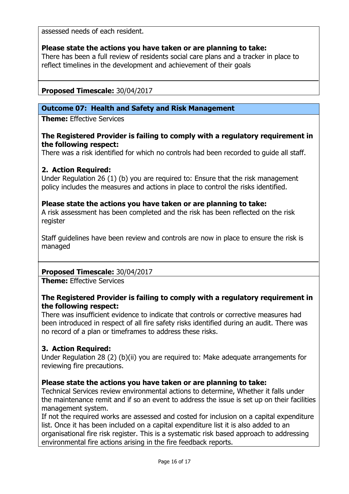assessed needs of each resident.

### **Please state the actions you have taken or are planning to take:**

There has been a full review of residents social care plans and a tracker in place to reflect timelines in the development and achievement of their goals

### **Proposed Timescale:** 30/04/2017

### **Outcome 07: Health and Safety and Risk Management**

**Theme:** Effective Services

#### **The Registered Provider is failing to comply with a regulatory requirement in the following respect:**

There was a risk identified for which no controls had been recorded to guide all staff.

### **2. Action Required:**

Under Regulation 26 (1) (b) you are required to: Ensure that the risk management policy includes the measures and actions in place to control the risks identified.

### **Please state the actions you have taken or are planning to take:**

A risk assessment has been completed and the risk has been reflected on the risk register

Staff guidelines have been review and controls are now in place to ensure the risk is managed

# **Proposed Timescale:** 30/04/2017

**Theme:** Effective Services

### **The Registered Provider is failing to comply with a regulatory requirement in the following respect:**

There was insufficient evidence to indicate that controls or corrective measures had been introduced in respect of all fire safety risks identified during an audit. There was no record of a plan or timeframes to address these risks.

# **3. Action Required:**

Under Regulation 28 (2) (b)(ii) you are required to: Make adequate arrangements for reviewing fire precautions.

### **Please state the actions you have taken or are planning to take:**

Technical Services review environmental actions to determine, Whether it falls under the maintenance remit and if so an event to address the issue is set up on their facilities management system.

If not the required works are assessed and costed for inclusion on a capital expenditure list. Once it has been included on a capital expenditure list it is also added to an organisational fire risk register. This is a systematic risk based approach to addressing environmental fire actions arising in the fire feedback reports.